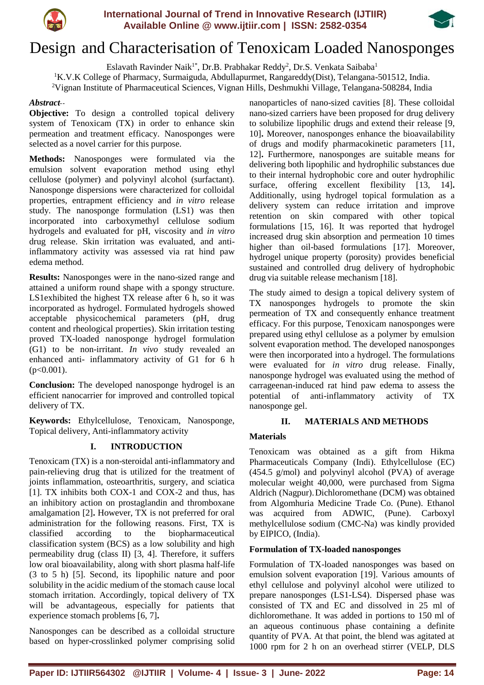



# Design and Characterisation of Tenoxicam Loaded Nanosponges

Eslavath Ravinder Naik $^{1*}$ , Dr.B. Prabhakar Reddy $^2$ , Dr.S. Venkata Saibaba $^1$ <sup>1</sup>K.V.K College of Pharmacy, Surmaiguda, Abdullapurmet, Rangareddy(Dist), Telangana-501512, India. <sup>2</sup>Vignan Institute of Pharmaceutical Sciences, Vignan Hills, Deshmukhi Village, Telangana-508284, India

# *Abstract*--

**Objective:** To design a controlled topical delivery system of Tenoxicam (TX) in order to enhance skin permeation and treatment efficacy. Nanosponges were selected as a novel carrier for this purpose.

**Methods:** Nanosponges were formulated via the emulsion solvent evaporation method using ethyl cellulose (polymer) and polyvinyl alcohol (surfactant). Nanosponge dispersions were characterized for colloidal properties, entrapment efficiency and *in vitro* release study. The nanosponge formulation (LS1) was then incorporated into carboxymethyl cellulose sodium hydrogels and evaluated for pH, viscosity and *in vitro* drug release. Skin irritation was evaluated, and antiinflammatory activity was assessed via rat hind paw edema method.

**Results:** Nanosponges were in the nano-sized range and attained a uniform round shape with a spongy structure. LS1exhibited the highest TX release after 6 h, so it was incorporated as hydrogel. Formulated hydrogels showed acceptable physicochemical parameters (pH, drug content and rheological properties). Skin irritation testing proved TX-loaded nanosponge hydrogel formulation (G1) to be non-irritant. *In vivo* study revealed an enhanced anti- inflammatory activity of G1 for 6 h  $(p<0.001)$ .

**Conclusion:** The developed nanosponge hydrogel is an efficient nanocarrier for improved and controlled topical delivery of TX.

**Keywords:** Ethylcellulose, Tenoxicam, Nanosponge, Topical delivery, Anti-inflammatory activity

# **I. INTRODUCTION**

Tenoxicam (TX) is a non-steroidal anti-inflammatory and pain-relieving drug that is utilized for the treatment of joints inflammation, osteoarthritis, surgery, and sciatica [1]. TX inhibits both COX-1 and COX-2 and thus, has an inhibitory action on prostaglandin and thromboxane amalgamation [2]**.** However, TX is not preferred for oral administration for the following reasons. First, TX is classified according to the biopharmaceutical classification system (BCS) as a low solubility and high permeability drug (class II) [3, 4]. Therefore, it suffers low oral bioavailability, along with short plasma half-life (3 to 5 h) [5]. Second, its lipophilic nature and poor solubility in the acidic medium of the stomach cause local stomach irritation. Accordingly, topical delivery of TX will be advantageous, especially for patients that experience stomach problems [6, 7]**.**

Nanosponges can be described as a colloidal structure based on hyper-crosslinked polymer comprising solid nanoparticles of nano-sized cavities [8]. These colloidal nano-sized carriers have been proposed for drug delivery to solubilize lipophilic drugs and extend their release [9, 10]**.** Moreover, nanosponges enhance the bioavailability of drugs and modify pharmacokinetic parameters [11, 12]**.** Furthermore, nanosponges are suitable means for delivering both lipophilic and hydrophilic substances due to their internal hydrophobic core and outer hydrophilic surface, offering excellent flexibility [13, 14]**.** Additionally, using hydrogel topical formulation as a delivery system can reduce irritation and improve retention on skin compared with other topical formulations [15, 16]. It was reported that hydrogel increased drug skin absorption and permeation 10 times higher than oil-based formulations [17]. Moreover, hydrogel unique property (porosity) provides beneficial sustained and controlled drug delivery of hydrophobic drug via suitable release mechanism [18].

The study aimed to design a topical delivery system of TX nanosponges hydrogels to promote the skin permeation of TX and consequently enhance treatment efficacy. For this purpose, Tenoxicam nanosponges were prepared using ethyl cellulose as a polymer by emulsion solvent evaporation method. The developed nanosponges were then incorporated into a hydrogel. The formulations were evaluated for *in vitro* drug release. Finally, nanosponge hydrogel was evaluated using the method of carrageenan-induced rat hind paw edema to assess the potential of anti-inflammatory activity of TX nanosponge gel.

# **II. MATERIALS AND METHODS**

# **Materials**

Tenoxicam was obtained as a gift from Hikma Pharmaceuticals Company (Indi). Ethylcellulose (EC) (454.5 g/mol) and polyvinyl alcohol (PVA) of average molecular weight 40,000, were purchased from Sigma Aldrich (Nagpur).Dichloromethane (DCM) was obtained from Algomhuria Medicine Trade Co. (Pune). Ethanol was acquired from ADWIC, (Pune). Carboxyl methylcellulose sodium (CMC-Na) was kindly provided by EIPICO, (India).

# **Formulation of TX-loaded nanosponges**

Formulation of TX-loaded nanosponges was based on emulsion solvent evaporation [19]. Various amounts of ethyl cellulose and polyvinyl alcohol were utilized to prepare nanosponges (LS1-LS4). Dispersed phase was consisted of TX and EC and dissolved in 25 ml of dichloromethane. It was added in portions to 150 ml of an aqueous continuous phase containing a definite quantity of PVA. At that point, the blend was agitated at 1000 rpm for 2 h on an overhead stirrer (VELP, DLS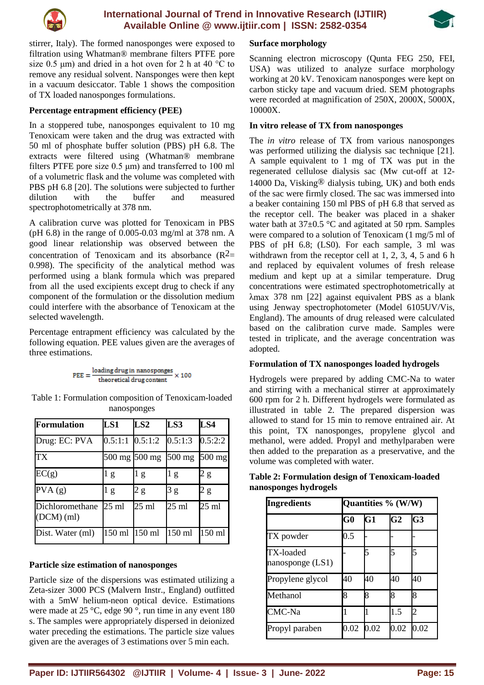



stirrer, Italy). The formed nanosponges were exposed to filtration using Whatman® membrane filters PTFE pore size 0.5  $\mu$ m) and dried in a hot oven for 2 h at 40 °C to remove any residual solvent. Nansponges were then kept in a vacuum desiccator. Table 1 shows the composition of TX loaded nanosponges formulations.

## **Percentage entrapment efficiency (PEE)**

In a stoppered tube, nanosponges equivalent to 10 mg Tenoxicam were taken and the drug was extracted with 50 ml of phosphate buffer solution (PBS) pH 6.8. The extracts were filtered using (Whatman® membrane filters PTFE pore size  $0.5 \mu m$ ) and transferred to 100 ml of a volumetric flask and the volume was completed with PBS pH 6.8 [20]. The solutions were subjected to further dilution with the buffer and measured spectrophotometrically at 378 nm.

A calibration curve was plotted for Tenoxicam in PBS (pH 6.8) in the range of 0.005-0.03 mg/ml at 378 nm. A good linear relationship was observed between the concentration of Tenoxicam and its absorbance  $(R^2=$ 0.998). The specificity of the analytical method was performed using a blank formula which was prepared from all the used excipients except drug to check if any component of the formulation or the dissolution medium could interfere with the absorbance of Tenoxicam at the selected wavelength.

Percentage entrapment efficiency was calculated by the following equation. PEE values given are the averages of three estimations.

$$
\text{PEE} = \frac{\text{loading drug in nanosponges}}{\text{theoretical drug content}} \times 100
$$

Table 1: Formulation composition of Tenoxicam-loaded nanosponges

| <b>Formulation</b>              | LS1                 | LS2             | LS3             | LS4              |
|---------------------------------|---------------------|-----------------|-----------------|------------------|
| Drug: EC: PVA                   | $0.5:1:1$ $0.5:1:2$ |                 | 0.5:1:3         | 0.5:2:2          |
| <b>TX</b>                       | 500 mg 500 mg       |                 | $500$ mg        | $500 \text{ mg}$ |
| EC(g)                           | g                   | 1 g             | l g             | 2 g              |
| PVA(g)                          | l g                 | 2 g             | 3g              | 2 g              |
| Dichloromethane<br>$(DCM)$ (ml) | $25 \text{ ml}$     | $25 \text{ ml}$ | $25 \text{ ml}$ | $25 \text{ ml}$  |
| Dist. Water (ml)                | 150 ml 150 ml       |                 | $150$ ml        | $150$ ml         |

#### **Particle size estimation of nanosponges**

Particle size of the dispersions was estimated utilizing a Zeta-sizer 3000 PCS (Malvern Instr., England) outfitted with a 5mW helium-neon optical device. Estimations were made at 25 °C, edge 90 °, run time in any event 180 s. The samples were appropriately dispersed in deionized water preceding the estimations. The particle size values given are the averages of 3 estimations over 5 min each.

## **Surface morphology**

Scanning electron microscopy (Qunta FEG 250, FEI, USA) was utilized to analyze surface morphology working at 20 kV. Tenoxicam nanosponges were kept on carbon sticky tape and vacuum dried. SEM photographs were recorded at magnification of 250X, 2000X, 5000X, 10000X.

## **In vitro release of TX from nanosponges**

The *in vitro* release of TX from various nanosponges was performed utilizing the dialysis sac technique [21]. A sample equivalent to 1 mg of TX was put in the regenerated cellulose dialysis sac (Mw cut-off at 12- 14000 Da, Visking<sup>®</sup> dialysis tubing, UK) and both ends of the sac were firmly closed. The sac was immersed into a beaker containing 150 ml PBS of pH 6.8 that served as the receptor cell. The beaker was placed in a shaker water bath at  $37\pm0.5$  °C and agitated at 50 rpm. Samples were compared to a solution of Tenoxicam (1 mg/5 ml of PBS of pH 6.8; (LS0). For each sample, 3 ml was withdrawn from the receptor cell at 1, 2, 3, 4, 5 and 6 h and replaced by equivalent volumes of fresh release medium and kept up at a similar temperature. Drug concentrations were estimated spectrophotometrically at λmax 378 nm [22] against equivalent PBS as a blank using Jenway spectrophotometer (Model 6105UV/Vis, England). The amounts of drug released were calculated based on the calibration curve made. Samples were tested in triplicate, and the average concentration was adopted.

#### **Formulation of TX nanosponges loaded hydrogels**

Hydrogels were prepared by adding CMC-Na to water and stirring with a mechanical stirrer at approximately 600 rpm for 2 h. Different hydrogels were formulated as illustrated in table 2. The prepared dispersion was allowed to stand for 15 min to remove entrained air. At this point, TX nanosponges, propylene glycol and methanol, were added. Propyl and methylparaben were then added to the preparation as a preservative, and the volume was completed with water.

| <b>Ingredients</b>              | Quantities % (W/W) |      |                |                |
|---------------------------------|--------------------|------|----------------|----------------|
|                                 | $\bf G0$           | G1   | G <sub>2</sub> | G <sub>3</sub> |
| TX powder                       | 0.5                |      |                |                |
| TX-loaded<br>nanosponge $(LS1)$ |                    | 5    | 5              | 5              |
| Propylene glycol                | 40                 | 40   | 40             | 40             |
| Methanol                        | 8                  | 8    | 8              | 8              |
| CMC-Na                          |                    |      | 1.5            | 2              |
| Propyl paraben                  | $0.02\,$           | 0.02 | 0.02           | 0.02           |

**Table 2: Formulation design of Tenoxicam-loaded nanosponges hydrogels**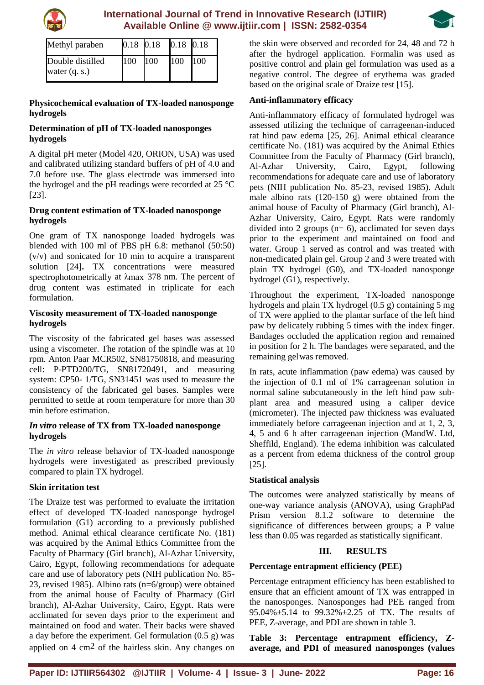



| Methyl paraben   | 0.18 0.18 |     | 0.18 0.18  |      |
|------------------|-----------|-----|------------|------|
| Double distilled | 100       | 100 | <b>100</b> | 1100 |
| water $(q, s)$   |           |     |            |      |

#### **Physicochemical evaluation of TX-loaded nanosponge hydrogels**

## **Determination of pH of TX-loaded nanosponges hydrogels**

A digital pH meter (Model 420, ORION, USA) was used and calibrated utilizing standard buffers of pH of 4.0 and 7.0 before use. The glass electrode was immersed into the hydrogel and the pH readings were recorded at 25 °C [23].

## **Drug content estimation of TX-loaded nanosponge hydrogels**

One gram of TX nanosponge loaded hydrogels was blended with 100 ml of PBS pH 6.8: methanol (50:50) (v/v) and sonicated for 10 min to acquire a transparent solution [24]**.** TX concentrations were measured spectrophotometrically at λmax 378 nm. The percent of drug content was estimated in triplicate for each formulation.

## **Viscosity measurement of TX-loaded nanosponge hydrogels**

The viscosity of the fabricated gel bases was assessed using a viscometer. The rotation of the spindle was at 10 rpm. Anton Paar MCR502, SN81750818, and measuring cell: P-PTD200/TG, SN81720491, and measuring system: CP50- 1/TG, SN31451 was used to measure the consistency of the fabricated gel bases. Samples were permitted to settle at room temperature for more than 30 min before estimation.

## *In vitro* **release of TX from TX-loaded nanosponge hydrogels**

The *in vitro* release behavior of TX-loaded nanosponge hydrogels were investigated as prescribed previously compared to plain TX hydrogel.

# **Skin irritation test**

The Draize test was performed to evaluate the irritation effect of developed TX-loaded nanosponge hydrogel formulation (G1) according to a previously published method. Animal ethical clearance certificate No. (181) was acquired by the Animal Ethics Committee from the Faculty of Pharmacy (Girl branch), Al-Azhar University, Cairo, Egypt, following recommendations for adequate care and use of laboratory pets (NIH publication No. 85- 23, revised 1985). Albino rats (n=6/group) were obtained from the animal house of Faculty of Pharmacy (Girl branch), Al-Azhar University, Cairo, Egypt. Rats were acclimated for seven days prior to the experiment and maintained on food and water. Their backs were shaved a day before the experiment. Gel formulation (0.5 g) was applied on 4 cm2 of the hairless skin. Any changes on the skin were observed and recorded for 24, 48 and 72 h after the hydrogel application. Formalin was used as positive control and plain gel formulation was used as a negative control. The degree of erythema was graded based on the original scale of Draize test [15].

# **Anti-inflammatory efficacy**

Anti-inflammatory efficacy of formulated hydrogel was assessed utilizing the technique of carrageenan-induced rat hind paw edema [25, 26]. Animal ethical clearance certificate No. (181) was acquired by the Animal Ethics Committee from the Faculty of Pharmacy (Girl branch), Al-Azhar University, Cairo, Egypt, following recommendations for adequate care and use of laboratory pets (NIH publication No. 85-23, revised 1985). Adult male albino rats (120-150 g) were obtained from the animal house of Faculty of Pharmacy (Girl branch), Al-Azhar University, Cairo, Egypt. Rats were randomly divided into 2 groups  $(n= 6)$ , acclimated for seven days prior to the experiment and maintained on food and water. Group 1 served as control and was treated with non-medicated plain gel. Group 2 and 3 were treated with plain TX hydrogel (G0), and TX-loaded nanosponge hydrogel (G1), respectively.

Throughout the experiment, TX-loaded nanosponge hydrogels and plain TX hydrogel (0.5 g) containing 5 mg of TX were applied to the plantar surface of the left hind paw by delicately rubbing 5 times with the index finger. Bandages occluded the application region and remained in position for 2 h. The bandages were separated, and the remaining gelwas removed.

In rats, acute inflammation (paw edema) was caused by the injection of 0.1 ml of 1% carrageenan solution in normal saline subcutaneously in the left hind paw subplant area and measured using a caliper device (micrometer). The injected paw thickness was evaluated immediately before carrageenan injection and at 1, 2, 3, 4, 5 and 6 h after carrageenan injection (MandW. Ltd, Sheffild, England). The edema inhibition was calculated as a percent from edema thickness of the control group [25].

# **Statistical analysis**

The outcomes were analyzed statistically by means of one-way variance analysis (ANOVA), using GraphPad Prism version 8.1.2 software to determine the significance of differences between groups; a P value less than 0.05 was regarded as statistically significant.

# **III. RESULTS**

# **Percentage entrapment efficiency (PEE)**

Percentage entrapment efficiency has been established to ensure that an efficient amount of TX was entrapped in the nanosponges. Nanosponges had PEE ranged from 95.04%±5.14 to 99.32%±2.25 of TX. The results of PEE, Z-average, and PDI are shown in table 3.

**Table 3: Percentage entrapment efficiency, Zaverage, and PDI of measured nanosponges (values**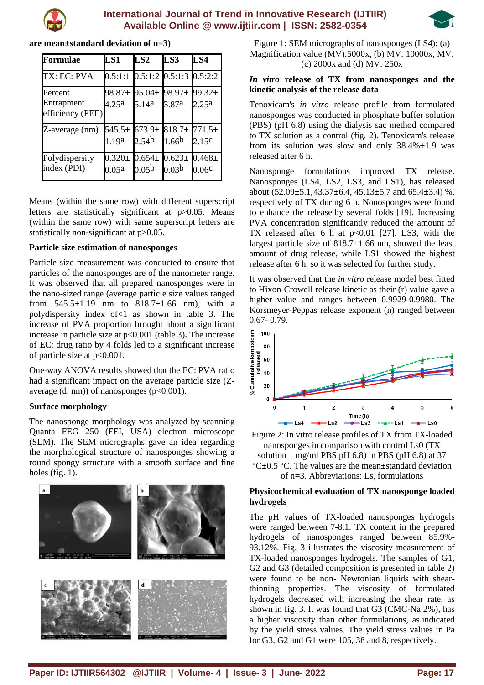



| are mean±standard deviation of n=3) |  |  |  |  |
|-------------------------------------|--|--|--|--|
|-------------------------------------|--|--|--|--|

| Formulae                                  | LS1                            | LS2                                     | LS3                                        | LS4                  |
|-------------------------------------------|--------------------------------|-----------------------------------------|--------------------------------------------|----------------------|
| TX: EC: PVA                               |                                |                                         | $0.5:1:1$ $0.5:1:2$ $0.5:1:3$ $0.5:2:2$    |                      |
| Percent<br>Entrapment<br>efficiency (PEE) | $98.87 \pm$<br>4.25a           | $95.04 \pm$<br>5.14a                    | $98.97 \pm$<br>3.87a                       | $99.32 \pm$<br>2.25a |
| Z-average (nm)                            | $545.5\pm$<br>1.19a            | 673.9 <sub>±</sub><br>2.54 <sup>b</sup> | $818.7 \pm 771.5 \pm$<br>1.66 <sup>b</sup> | 2.15c                |
| Polydispersity<br>index (PDI)             | $0.320 \pm 0.654 \pm$<br>0.05a | 0.05 <sup>b</sup>                       | $0.623 \pm 0.468 \pm$<br>0.03 <sup>b</sup> | 0.06c                |

Means (within the same row) with different superscript letters are statistically significant at p>0.05. Means (within the same row) with same superscript letters are statistically non-significant at  $p > 0.05$ .

#### **Particle size estimation of nanosponges**

Particle size measurement was conducted to ensure that particles of the nanosponges are of the nanometer range. It was observed that all prepared nanosponges were in the nano-sized range (average particle size values ranged from  $545.5\pm1.19$  nm to  $818.7\pm1.66$  nm), with a polydispersity index of<1 as shown in table 3. The increase of PVA proportion brought about a significant increase in particle size at p<0.001 (table 3)**.** The increase of EC: drug ratio by 4 folds led to a significant increase of particle size at p<0.001.

One-way ANOVA results showed that the EC: PVA ratio had a significant impact on the average particle size (Zaverage  $(d. nm)$  of nanosponges  $(p<0.001)$ .

#### **Surface morphology**

The nanosponge morphology was analyzed by scanning Quanta FEG 250 (FEI, USA) electron microscope (SEM). The SEM micrographs gave an idea regarding the morphological structure of nanosponges showing a round spongy structure with a smooth surface and fine holes (fig. 1).



Figure 1: SEM micrographs of nanosponges (LS4); (a) Magnification value (MV):5000x, (b) MV: 10000x, MV: (c) 2000x and (d) MV: 250x

## *In vitro* **release of TX from nanosponges and the kinetic analysis of the release data**

Tenoxicam's *in vitro* release profile from formulated nanosponges was conducted in phosphate buffer solution (PBS) (pH 6.8) using the dialysis sac method compared to TX solution as a control (fig. 2). Tenoxicam's release from its solution was slow and only  $38.4\% \pm 1.9$  was released after 6 h.

Nanosponge formulations improved TX release. Nanosponges (LS4, LS2, LS3, and LS1), has released about  $(52.09\pm5.1, 43.37\pm6.4, 45.13\pm5.7, 40.65.4\pm3.4)$ %, respectively of TX during 6 h. Nonosponges were found to enhance the release by several folds [19]. Increasing PVA concentration significantly reduced the amount of TX released after 6 h at  $p<0.01$  [27]. LS3, with the largest particle size of 818.7±1.66 nm, showed the least amount of drug release, while LS1 showed the highest release after 6 h, so it was selected for further study.

It was observed that the *in vitro* release model best fitted to Hixon-Crowell release kinetic as their (r) value gave a higher value and ranges between 0.9929-0.9980. The Korsmeyer-Peppas release exponent (n) ranged between 0.67- 0.79.



Figure 2: In vitro release profiles of TX from TX-loaded nanosponges in comparison with control Ls0 (TX solution 1 mg/ml PBS pH 6.8) in PBS (pH 6.8) at 37  $^{\circ}$ C $\pm$ 0.5  $^{\circ}$ C. The values are the mean $\pm$ standard deviation of n=3. Abbreviations: Ls, formulations

#### **Physicochemical evaluation of TX nanosponge loaded hydrogels**

The pH values of TX-loaded nanosponges hydrogels were ranged between 7-8.1. TX content in the prepared hydrogels of nanosponges ranged between 85.9%- 93.12%. Fig. 3 illustrates the viscosity measurement of TX-loaded nanosponges hydrogels. The samples of G1, G2 and G3 (detailed composition is presented in table 2) were found to be non- Newtonian liquids with shearthinning properties. The viscosity of formulated hydrogels decreased with increasing the shear rate, as shown in fig. 3. It was found that G3 (CMC-Na 2%), has a higher viscosity than other formulations, as indicated by the yield stress values. The yield stress values in Pa for G3, G2 and G1 were 105, 38 and 8, respectively.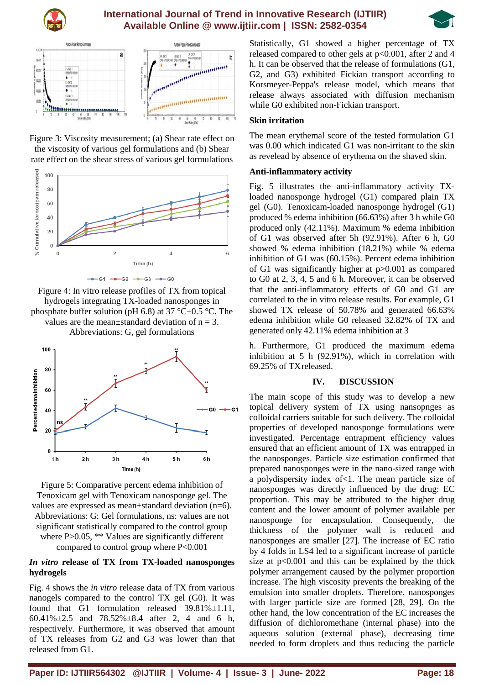





Figure 3: Viscosity measurement; (a) Shear rate effect on the viscosity of various gel formulations and (b) Shear rate effect on the shear stress of various gel formulations



Figure 4: In vitro release profiles of TX from topical hydrogels integrating TX-loaded nanosponges in phosphate buffer solution (pH 6.8) at 37 °C $\pm$ 0.5 °C. The values are the mean $\pm$ standard deviation of n = 3. Abbreviations: G, gel formulations



Figure 5: Comparative percent edema inhibition of Tenoxicam gel with Tenoxicam nanosponge gel. The values are expressed as mean±standard deviation (n=6). Abbreviations: G: Gel formulations, ns: values are not significant statistically compared to the control group where P>0.05, \*\* Values are significantly different compared to control group where P<0.001

#### *In vitro* **release of TX from TX-loaded nanosponges hydrogels**

Fig. 4 shows the *in vitro* release data of TX from various nanogels compared to the control TX gel (G0). It was found that G1 formulation released 39.81%±1.11, 60.41%±2.5 and 78.52%±8.4 after 2, 4 and 6 h, respectively. Furthermore, it was observed that amount of TX releases from G2 and G3 was lower than that released from G1.

Statistically, G1 showed a higher percentage of TX released compared to other gels at p<0.001, after 2 and 4 h. It can be observed that the release of formulations (G1, G2, and G3) exhibited Fickian transport according to Korsmeyer-Peppa's release model, which means that release always associated with diffusion mechanism while G0 exhibited non-Fickian transport.

#### **Skin irritation**

The mean erythemal score of the tested formulation G1 was 0.00 which indicated G1 was non-irritant to the skin as revelead by absence of erythema on the shaved skin.

#### **Anti-inflammatory activity**

Fig. 5 illustrates the anti-inflammatory activity TXloaded nanosponge hydrogel (G1) compared plain TX gel (G0). Tenoxicam-loaded nanosponge hydrogel (G1) produced % edema inhibition (66.63%) after 3 h while G0 produced only (42.11%). Maximum % edema inhibition of G1 was observed after 5h (92.91%). After 6 h, G0 showed % edema inhibition (18.21%) while % edema inhibition of G1 was (60.15%). Percent edema inhibition of G1 was significantly higher at p>0.001 as compared to G0 at 2, 3, 4, 5 and 6 h. Moreover, it can be observed that the anti-inflammatory effects of G0 and G1 are correlated to the in vitro release results. For example, G1 showed TX release of 50.78% and generated 66.63% edema inhibition while G0 released 32.82% of TX and generated only 42.11% edema inhibition at 3

h. Furthermore, G1 produced the maximum edema inhibition at 5 h (92.91%), which in correlation with 69.25% of TXreleased.

## **IV. DISCUSSION**

The main scope of this study was to develop a new topical delivery system of TX using nansopnges as colloidal carriers suitable for such delivery. The colloidal properties of developed nanosponge formulations were investigated. Percentage entrapment efficiency values ensured that an efficient amount of TX was entrapped in the nanosponges. Particle size estimation confirmed that prepared nanosponges were in the nano-sized range with a polydispersity index of<1. The mean particle size of nanosponges was directly influenced by the drug: EC proportion. This may be attributed to the higher drug content and the lower amount of polymer available per nanosponge for encapsulation. Consequently, the thickness of the polymer wall is reduced and nanosponges are smaller [27]. The increase of EC ratio by 4 folds in LS4 led to a significant increase of particle size at  $p<0.001$  and this can be explained by the thick polymer arrangement caused by the polymer proportion increase. The high viscosity prevents the breaking of the emulsion into smaller droplets. Therefore, nanosponges with larger particle size are formed [28, 29]. On the other hand, the low concentration of the EC increases the diffusion of dichloromethane (internal phase) into the aqueous solution (external phase), decreasing time needed to form droplets and thus reducing the particle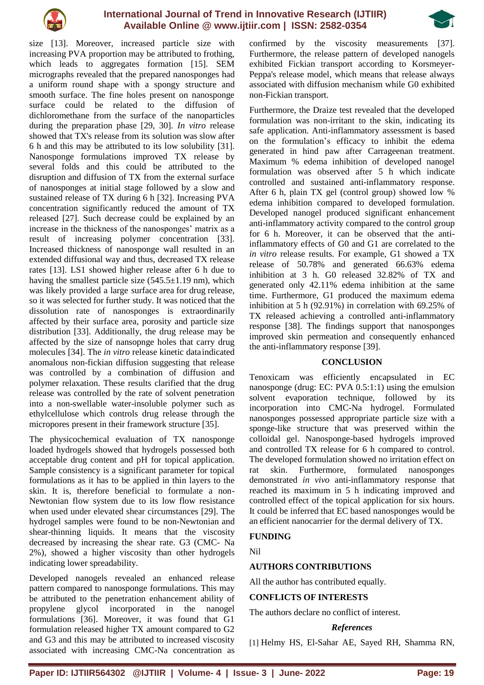



size [13]. Moreover, increased particle size with increasing PVA proportion may be attributed to frothing, which leads to aggregates formation [15]. SEM micrographs revealed that the prepared nanosponges had a uniform round shape with a spongy structure and smooth surface. The fine holes present on nanosponge surface could be related to the diffusion of dichloromethane from the surface of the nanoparticles during the preparation phase [29, 30]. *In vitro* release showed that TX's release from its solution was slow after 6 h and this may be attributed to its low solubility [31]. Nanosponge formulations improved TX release by several folds and this could be attributed to the disruption and diffusion of TX from the external surface of nanosponges at initial stage followed by a slow and sustained release of TX during 6 h [32]. Increasing PVA concentration significantly reduced the amount of TX released [27]. Such decrease could be explained by an increase in the thickness of the nanosponges' matrix as a result of increasing polymer concentration [33]. Increased thickness of nanosponge wall resulted in an extended diffusional way and thus, decreased TX release rates [13]. LS1 showed higher release after 6 h due to having the smallest particle size  $(545.5\pm1.19 \text{ nm})$ , which was likely provided a large surface area for drug release, so it was selected for further study. It was noticed that the dissolution rate of nanosponges is extraordinarily affected by their surface area, porosity and particle size distribution [33]. Additionally, the drug release may be affected by the size of nansopnge holes that carry drug molecules [34]. The *in vitro* release kinetic dataindicated anomalous non-fickian diffusion suggesting that release was controlled by a combination of diffusion and polymer relaxation. These results clarified that the drug release was controlled by the rate of solvent penetration into a non-swellable water-insoluble polymer such as ethylcellulose which controls drug release through the micropores present in their framework structure [35].

The physicochemical evaluation of TX nanosponge loaded hydrogels showed that hydrogels possessed both acceptable drug content and pH for topical application. Sample consistency is a significant parameter for topical formulations as it has to be applied in thin layers to the skin. It is, therefore beneficial to formulate a non-Newtonian flow system due to its low flow resistance when used under elevated shear circumstances [29]. The hydrogel samples were found to be non-Newtonian and shear-thinning liquids. It means that the viscosity decreased by increasing the shear rate. G3 (CMC- Na 2%), showed a higher viscosity than other hydrogels indicating lower spreadability.

Developed nanogels revealed an enhanced release pattern compared to nanosponge formulations. This may be attributed to the penetration enhancement ability of propylene glycol incorporated in the nanogel formulations [36]. Moreover, it was found that G1 formulation released higher TX amount compared to G2 and G3 and this may be attributed to increased viscosity associated with increasing CMC-Na concentration as

confirmed by the viscosity measurements [37]. Furthermore, the release pattern of developed nanogels exhibited Fickian transport according to Korsmeyer-Peppa's release model, which means that release always associated with diffusion mechanism while G0 exhibited non-Fickian transport.

Furthermore, the Draize test revealed that the developed formulation was non-irritant to the skin, indicating its safe application. Anti-inflammatory assessment is based on the formulation's efficacy to inhibit the edema generated in hind paw after Carrageenan treatment. Maximum % edema inhibition of developed nanogel formulation was observed after 5 h which indicate controlled and sustained anti-inflammatory response. After 6 h, plain TX gel (control group) showed low % edema inhibition compared to developed formulation. Developed nanogel produced significant enhancement anti-inflammatory activity compared to the control group for 6 h. Moreover, it can be observed that the antiinflammatory effects of G0 and G1 are correlated to the *in vitro* release results. For example, G1 showed a TX release of 50.78% and generated 66.63% edema inhibition at 3 h. G0 released 32.82% of TX and generated only 42.11% edema inhibition at the same time. Furthermore, G1 produced the maximum edema inhibition at 5 h (92.91%) in correlation with 69.25% of TX released achieving a controlled anti-inflammatory response [38]. The findings support that nanosponges improved skin permeation and consequently enhanced the anti-inflammatory response [39].

#### **CONCLUSION**

Tenoxicam was efficiently encapsulated in EC nanosponge (drug: EC: PVA 0.5:1:1) using the emulsion solvent evaporation technique, followed by its incorporation into CMC-Na hydrogel. Formulated nanosponges possessed appropriate particle size with a sponge-like structure that was preserved within the colloidal gel. Nanosponge-based hydrogels improved and controlled TX release for 6 h compared to control. The developed formulation showed no irritation effect on rat skin. Furthermore, formulated nanosponges demonstrated *in vivo* anti-inflammatory response that reached its maximum in 5 h indicating improved and controlled effect of the topical application for six hours. It could be inferred that EC based nanosponges would be an efficient nanocarrier for the dermal delivery of TX.

# **FUNDING**

Nil

# **AUTHORS CONTRIBUTIONS**

All the author has contributed equally.

#### **CONFLICTS OF INTERESTS**

The authors declare no conflict of interest.

## *References*

[1] Helmy HS, El-Sahar AE, Sayed RH, Shamma RN,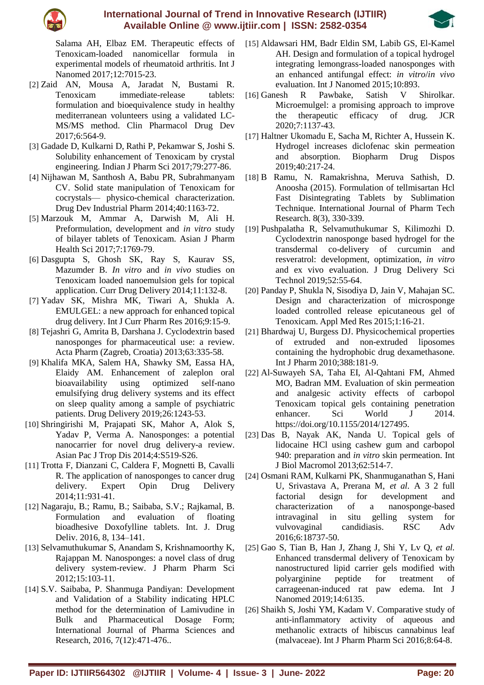

Salama AH, Elbaz EM. Therapeutic effects of Tenoxicam-loaded nanomicellar formula in experimental models of rheumatoid arthritis. Int J Nanomed 2017;12:7015-23.

- [2] Zaid AN, Mousa A, Jaradat N, Bustami R. Tenoxicam immediate-release tablets: formulation and bioequivalence study in healthy mediterranean volunteers using a validated LC-MS/MS method. Clin Pharmacol Drug Dev 2017;6:564-9.
- [3] Gadade D, Kulkarni D, Rathi P, Pekamwar S, Joshi S. Solubility enhancement of Tenoxicam by crystal engineering. Indian J Pharm Sci 2017;79:277-86.
- [4] Nijhawan M, Santhosh A, Babu PR, Subrahmanyam CV. Solid state manipulation of Tenoxicam for cocrystals— physico-chemical characterization. Drug Dev Industrial Pharm 2014;40:1163-72.
- [5] Marzouk M, Ammar A, Darwish M, Ali H. Preformulation, development and *in vitro* study of bilayer tablets of Tenoxicam. Asian J Pharm Health Sci 2017;7:1769-79.
- [6] Dasgupta S, Ghosh SK, Ray S, Kaurav SS, Mazumder B. *In vitro* and *in vivo* studies on Tenoxicam loaded nanoemulsion gels for topical application. Curr Drug Delivery 2014;11:132-8.
- [7] Yadav SK, Mishra MK, Tiwari A, Shukla A. EMULGEL: a new approach for enhanced topical drug delivery. Int J Curr Pharm Res 2016;9:15-9.
- [8] Tejashri G, Amrita B, Darshana J. Cyclodextrin based nanosponges for pharmaceutical use: a review. Acta Pharm (Zagreb, Croatia) 2013;63:335-58.
- [9] Khalifa MKA, Salem HA, Shawky SM, Eassa HA, Elaidy AM. Enhancement of zaleplon oral bioavailability using optimized self-nano emulsifying drug delivery systems and its effect on sleep quality among a sample of psychiatric patients. Drug Delivery 2019;26:1243-53.
- [10] Shringirishi M, Prajapati SK, Mahor A, Alok S, Yadav P, Verma A. Nanosponges: a potential nanocarrier for novel drug delivery-a review. Asian Pac J Trop Dis 2014;4:S519-S26.
- [11] Trotta F, Dianzani C, Caldera F, Mognetti B, Cavalli R. The application of nanosponges to cancer drug delivery. Expert Opin Drug Delivery 2014;11:931-41.
- [12] Nagaraju, B.; Ramu, B.; Saibaba, S.V.; Rajkamal, B. Formulation and evaluation of floating bioadhesive Doxofylline tablets. Int. J. Drug Deliv. 2016, 8, 134–141.
- [13] Selvamuthukumar S, Anandam S, Krishnamoorthy K, Rajappan M. Nanosponges: a novel class of drug delivery system-review. J Pharm Pharm Sci 2012;15:103-11.
- [14] S.V. Saibaba, P. Shanmuga Pandiyan: Development and Validation of a Stability indicating HPLC method for the determination of Lamivudine in Bulk and Pharmaceutical Dosage Form; International Journal of Pharma Sciences and Research, 2016, 7(12):471-476..
- [15] Aldawsari HM, Badr Eldin SM, Labib GS, El-Kamel AH. Design and formulation of a topical hydrogel integrating lemongrass-loaded nanosponges with an enhanced antifungal effect: *in vitro*/*in vivo*  evaluation. Int J Nanomed 2015;10:893.<br>
esh R Pawbake. Satish V :
- [16] Ganesh R Pawbake, Satish V Shirolkar. Microemulgel: a promising approach to improve the therapeutic efficacy of drug. JCR 2020;7:1137-43.
- [17] Haltner Ukomadu E, Sacha M, Richter A, Hussein K. Hydrogel increases diclofenac skin permeation and absorption. Biopharm Drug Dispos 2019;40:217-24.
- [18] B Ramu, N. Ramakrishna, Meruva Sathish, D. Anoosha (2015). Formulation of tellmisartan Hcl Fast Disintegrating Tablets by Sublimation Technique. International Journal of Pharm Tech Research. 8(3), 330-339.
- [19] Pushpalatha R, Selvamuthukumar S, Kilimozhi D. Cyclodextrin nanosponge based hydrogel for the transdermal co-delivery of curcumin and resveratrol: development, optimization, *in vitro*  and ex vivo evaluation. J Drug Delivery Sci Technol 2019;52:55-64.
- [20] Panday P, Shukla N, Sisodiya D, Jain V, Mahajan SC. Design and characterization of microsponge loaded controlled release epicutaneous gel of Tenoxicam. Appl Med Res 2015;1:16-21.
- [21] Bhardwaj U, Burgess DJ. Physicochemical properties of extruded and non-extruded liposomes containing the hydrophobic drug dexamethasone. Int J Pharm 2010;388:181-9.
- [22] Al-Suwayeh SA, Taha EI, Al-Qahtani FM, Ahmed MO, Badran MM. Evaluation of skin permeation and analgesic activity effects of carbopol Tenoxicam topical gels containing penetration enhancer. Sci World J 2014. https://doi.org/10.1155/2014/127495.
- [23] Das B, Nayak AK, Nanda U. Topical gels of lidocaine HCl using cashew gum and carbopol 940: preparation and *in vitro* skin permeation. Int J Biol Macromol 2013;62:514-7.
- [24] Osmani RAM, Kulkarni PK, Shanmuganathan S, Hani U, Srivastava A, Prerana M, *et al.* A 3 2 full factorial design for development and characterization of a nanosponge-based intravaginal in situ gelling system for vulvovaginal candidiasis. RSC Adv 2016;6:18737-50.
- [25] Gao S, Tian B, Han J, Zhang J, Shi Y, Lv Q, *et al.*  Enhanced transdermal delivery of Tenoxicam by nanostructured lipid carrier gels modified with polyarginine peptide for treatment of carrageenan-induced rat paw edema. Int J Nanomed 2019;14:6135.
- [26] Shaikh S, Joshi YM, Kadam V. Comparative study of anti-inflammatory activity of aqueous and methanolic extracts of hibiscus cannabinus leaf (malvaceae). Int J Pharm Pharm Sci 2016;8:64-8.